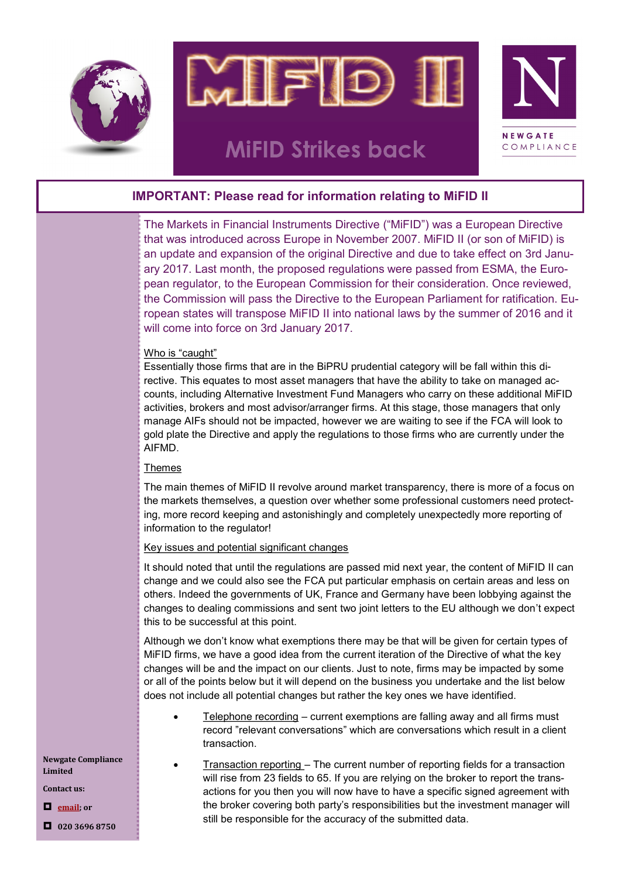



## **MIFID Strikes back**



### **IMPORTANT: Please read for information relating to MiFID II**

The Markets in Financial Instruments Directive ("MiFID") was a European Directive that was introduced across Europe in November 2007. MiFID II (or son of MiFID) is an update and expansion of the original Directive and due to take effect on 3rd January 2017. Last month, the proposed regulations were passed from ESMA, the European regulator, to the European Commission for their consideration. Once reviewed, the Commission will pass the Directive to the European Parliament for ratification. European states will transpose MiFID II into national laws by the summer of 2016 and it will come into force on 3rd January 2017.

#### Who is "caught"

Essentially those firms that are in the BiPRU prudential category will be fall within this directive. This equates to most asset managers that have the ability to take on managed accounts, including Alternative Investment Fund Managers who carry on these additional MiFID activities, brokers and most advisor/arranger firms. At this stage, those managers that only manage AIFs should not be impacted, however we are waiting to see if the FCA will look to gold plate the Directive and apply the regulations to those firms who are currently under the AIFMD.

#### Themes

The main themes of MiFID II revolve around market transparency, there is more of a focus on the markets themselves, a question over whether some professional customers need protecting, more record keeping and astonishingly and completely unexpectedly more reporting of information to the regulator!

#### Key issues and potential significant changes

It should noted that until the regulations are passed mid next year, the content of MiFID II can change and we could also see the FCA put particular emphasis on certain areas and less on others. Indeed the governments of UK, France and Germany have been lobbying against the changes to dealing commissions and sent two joint letters to the EU although we don't expect this to be successful at this point.

Although we don't know what exemptions there may be that will be given for certain types of MiFID firms, we have a good idea from the current iteration of the Directive of what the key changes will be and the impact on our clients. Just to note, firms may be impacted by some or all of the points below but it will depend on the business you undertake and the list below does not include all potential changes but rather the key ones we have identified.

- Telephone recording current exemptions are falling away and all firms must record "relevant conversations" which are conversations which result in a client transaction.
- **Newgate Compliance Limited**
- **Contact us:**
- **[email;](mailto:info@newgatecompliance.com?subject=Email%20from%20Newgate%20News) or**
- **020 3696 8750**
- Transaction reporting The current number of reporting fields for a transaction will rise from 23 fields to 65. If you are relying on the broker to report the transactions for you then you will now have to have a specific signed agreement with the broker covering both party's responsibilities but the investment manager will still be responsible for the accuracy of the submitted data.